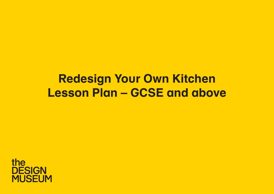# **Redesign Your Own Kitchen Lesson Plan – GCSE and above**

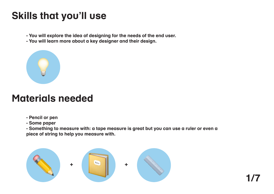## **Skills that you'll use**

- **You will explore the idea of designing for the needs of the end user.**
- **You will learn more about a key designer and their design.**



## **Materials needed**

- **Pencil or pen**
- **Some paper**

**- Something to measure with: a tape measure is great but you can use a ruler or even a piece of string to help you measure with.** 

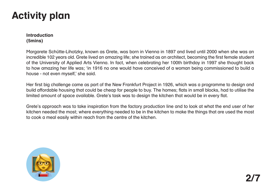### **Introduction (5mins)**

Margarete Schütte-Lihotzky, known as Grete, was born in Vienna in 1897 and lived until 2000 when she was an incredible 102 years old. Grete lived an amazing life; she trained as an architect, becoming the first female student of the University of Applied Arts Vienna. In fact, when celebrating her 100th birthday in 1997 she thought back to how amazing her life was; 'in 1916 no one would have conceived of a woman being commissioned to build a house - not even myself,' she said.

Her first big challenge came as part of the New Frankfurt Project in 1926, which was a programme to design and build affordable housing that could be cheap for people to buy. The homes; flats in small blocks, had to utilise the limited amount of space available. Grete's task was to design the kitchen that would be in every flat.

Grete's approach was to take inspiration from the factory production line and to look at what the end user of her kitchen needed the most; where everything needed to be in the kitchen to make the things that are used the most to cook a meal easily within reach from the centre of the kitchen.

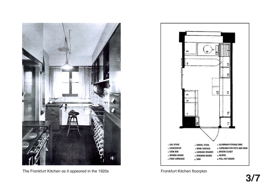

The Frankfurt Kitchen as it appeared in the 1920s **Frankfurt Kitchen floorplan** 

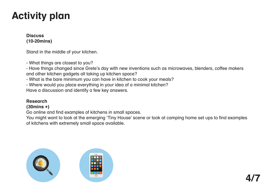**Discuss (10-20mins)**

Stand in the middle of your kitchen.

- What things are closest to you?

- Have things changed since Grete's day with new inventions such as microwaves, blenders, coffee makers and other kitchen gadgets all taking up kitchen space?

- What is the bare minimum you can have in kitchen to cook your meals?

- Where would you place everything in your idea of a minimal kitchen?

Have a discussion and identify a few key answers.

### **Research**

#### **(30mins +)**

Go online and find examples of kitchens in small spaces.

You might want to look at the emerging 'Tiny House' scene or look at camping home set ups to find examples of kitchens with extremely small space available.

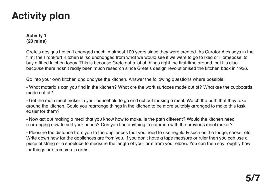### **Activity 1 (20 mins)**

Grete's designs haven't changed much in almost 100 years since they were created. As Curator Alex says in the film; the Frankfurt Kitchen is 'so unchanged from what we would see if we were to go to Ikea or Homebase' to buy a fitted kitchen today. This is because Grete got a lot of things right the first-time around, but it's also because there hasn't really been much research since Grete's design revolutionised the kitchen back in 1926.

Go into your own kitchen and analyse the kitchen. Answer the following questions where possible;

- What materials can you find in the kitchen? What are the work surfaces made out of? What are the cupboards made out of?

- Get the main meal maker in your household to go and act out making a meal. Watch the path that they take around the kitchen. Could you rearrange things in the kitchen to be more suitably arranged to make this task easier for them?

- Now act out making a meal that you know how to make. Is the path different? Would the kitchen need rearranging now to suit your needs? Can you find anything in common with the previous meal maker?

- Measure the distance from you to the appliences that you need to use regularly such as the fridge, cooker etc. Write down how far the appliences are from you. If you don't have a tape measure or ruler then you can use a piece of string or a shoelace to measure the length of your arm from your elbow. You can then say roughly how far things are from you in arms.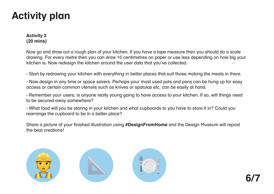### **Activity 2 (20 mins)**

Now go and draw out a rough plan of your kitchen. If you have a tape measure then you should do a scale drawing. For every metre then you can draw 10 centimetres on paper or use less depending on how big your kitchen is. Now redesign the kitchen around the user data that you've collected.

- Start by redrawing your kitchen with everything in better places that suit those making the meals in there.

- Now design in any time or space savers. Perhaps your most used pots and pans can be hung up for easy access or certain common utensils such as knives or spatulas etc. can be easily at hand.

- Remember your users; is anyone really young going to have access to your kitchen. If so, will things need to be secured away somewhere?

- What food will you be storing in your kitchen and what cupboards to you have to store it in? Could you rearrange the cupboard to be in a better place?

Share a picture of your finished illustration using **#DesignFromHome** and the Design Museum will repost the best creations!